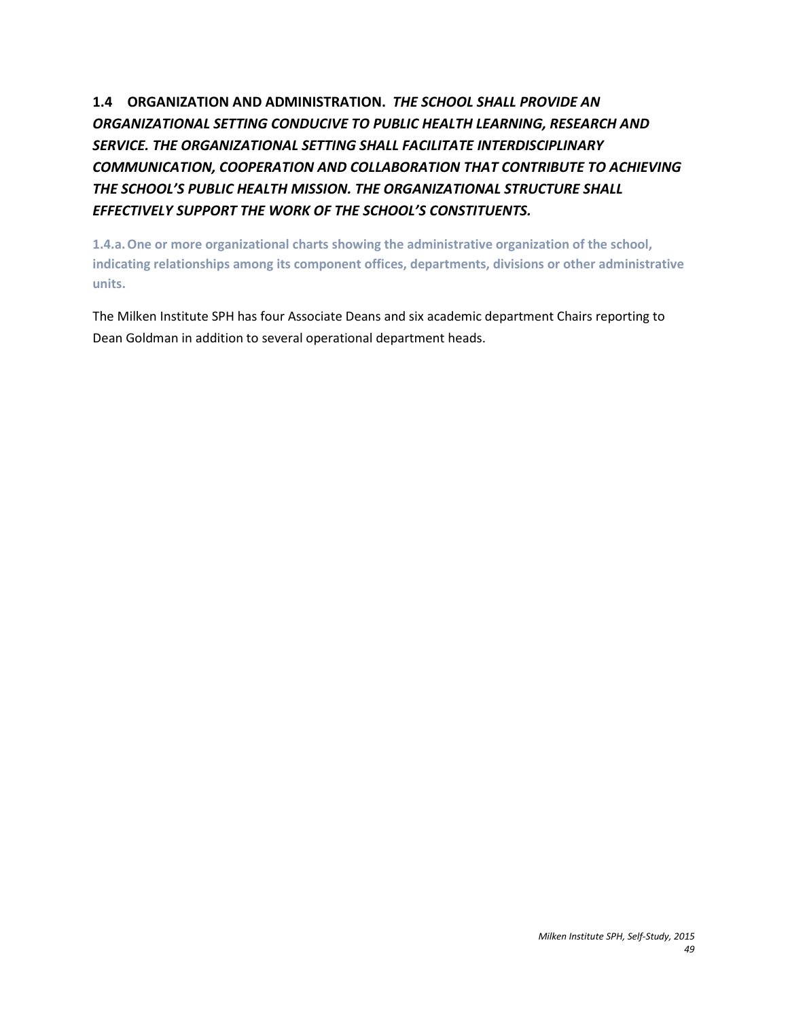**1.4 ORGANIZATION AND ADMINISTRATION.** *THE SCHOOL SHALL PROVIDE AN ORGANIZATIONAL SETTING CONDUCIVE TO PUBLIC HEALTH LEARNING, RESEARCH AND SERVICE. THE ORGANIZATIONAL SETTING SHALL FACILITATE INTERDISCIPLINARY COMMUNICATION, COOPERATION AND COLLABORATION THAT CONTRIBUTE TO ACHIEVING THE SCHOOL'S PUBLIC HEALTH MISSION. THE ORGANIZATIONAL STRUCTURE SHALL EFFECTIVELY SUPPORT THE WORK OF THE SCHOOL'S CONSTITUENTS.*

**1.4.a.One or more organizational charts showing the administrative organization of the school, indicating relationships among its component offices, departments, divisions or other administrative units.**

The Milken Institute SPH has four Associate Deans and six academic department Chairs reporting to Dean Goldman in addition to several operational department heads.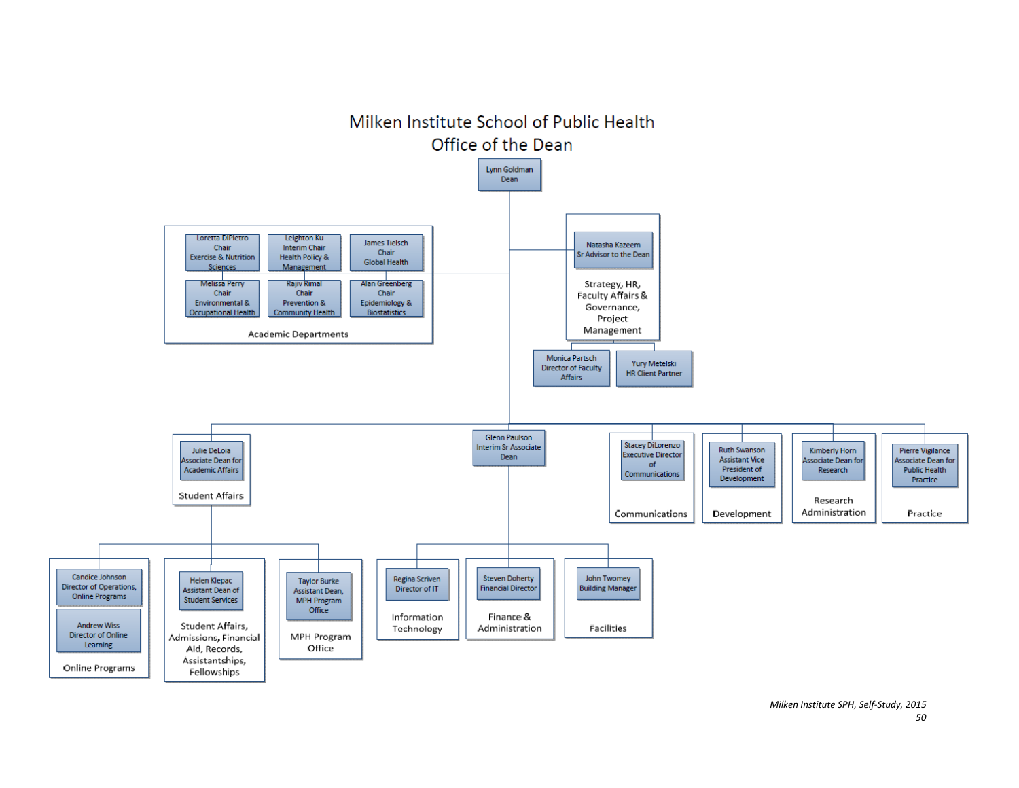

*Milken Institute SPH, Self-Study, 2015 50*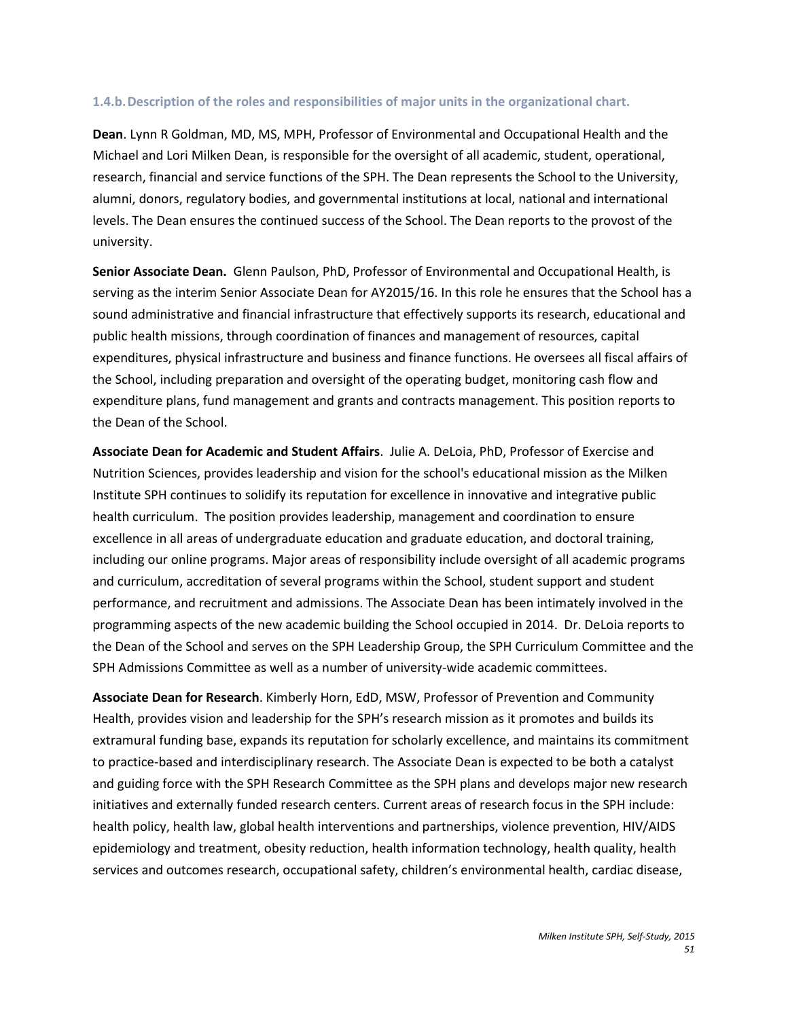#### **1.4.b.Description of the roles and responsibilities of major units in the organizational chart.**

**Dean**. Lynn R Goldman, MD, MS, MPH, Professor of Environmental and Occupational Health and the Michael and Lori Milken Dean, is responsible for the oversight of all academic, student, operational, research, financial and service functions of the SPH. The Dean represents the School to the University, alumni, donors, regulatory bodies, and governmental institutions at local, national and international levels. The Dean ensures the continued success of the School. The Dean reports to the provost of the university.

**Senior Associate Dean.** Glenn Paulson, PhD, Professor of Environmental and Occupational Health, is serving as the interim Senior Associate Dean for AY2015/16. In this role he ensures that the School has a sound administrative and financial infrastructure that effectively supports its research, educational and public health missions, through coordination of finances and management of resources, capital expenditures, physical infrastructure and business and finance functions. He oversees all fiscal affairs of the School, including preparation and oversight of the operating budget, monitoring cash flow and expenditure plans, fund management and grants and contracts management. This position reports to the Dean of the School.

**Associate Dean for Academic and Student Affairs**. Julie A. DeLoia, PhD, Professor of Exercise and Nutrition Sciences, provides leadership and vision for the school's educational mission as the Milken Institute SPH continues to solidify its reputation for excellence in innovative and integrative public health curriculum. The position provides leadership, management and coordination to ensure excellence in all areas of undergraduate education and graduate education, and doctoral training, including our online programs. Major areas of responsibility include oversight of all academic programs and curriculum, accreditation of several programs within the School, student support and student performance, and recruitment and admissions. The Associate Dean has been intimately involved in the programming aspects of the new academic building the School occupied in 2014. Dr. DeLoia reports to the Dean of the School and serves on the SPH Leadership Group, the SPH Curriculum Committee and the SPH Admissions Committee as well as a number of university-wide academic committees.

**Associate Dean for Research**. Kimberly Horn, EdD, MSW, Professor of Prevention and Community Health, provides vision and leadership for the SPH's research mission as it promotes and builds its extramural funding base, expands its reputation for scholarly excellence, and maintains its commitment to practice-based and interdisciplinary research. The Associate Dean is expected to be both a catalyst and guiding force with the SPH Research Committee as the SPH plans and develops major new research initiatives and externally funded research centers. Current areas of research focus in the SPH include: health policy, health law, global health interventions and partnerships, violence prevention, HIV/AIDS epidemiology and treatment, obesity reduction, health information technology, health quality, health services and outcomes research, occupational safety, children's environmental health, cardiac disease,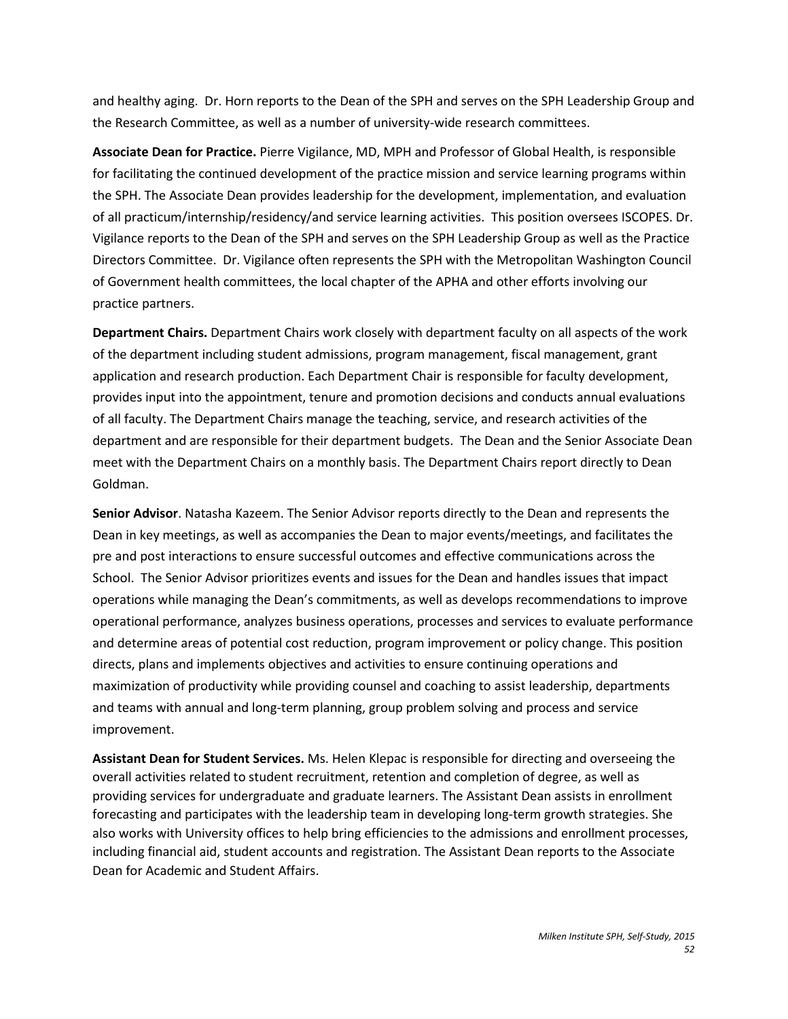and healthy aging. Dr. Horn reports to the Dean of the SPH and serves on the SPH Leadership Group and the Research Committee, as well as a number of university-wide research committees.

**Associate Dean for Practice.** Pierre Vigilance, MD, MPH and Professor of Global Health, is responsible for facilitating the continued development of the practice mission and service learning programs within the SPH. The Associate Dean provides leadership for the development, implementation, and evaluation of all practicum/internship/residency/and service learning activities. This position oversees ISCOPES. Dr. Vigilance reports to the Dean of the SPH and serves on the SPH Leadership Group as well as the Practice Directors Committee. Dr. Vigilance often represents the SPH with the Metropolitan Washington Council of Government health committees, the local chapter of the APHA and other efforts involving our practice partners.

**Department Chairs.** Department Chairs work closely with department faculty on all aspects of the work of the department including student admissions, program management, fiscal management, grant application and research production. Each Department Chair is responsible for faculty development, provides input into the appointment, tenure and promotion decisions and conducts annual evaluations of all faculty. The Department Chairs manage the teaching, service, and research activities of the department and are responsible for their department budgets. The Dean and the Senior Associate Dean meet with the Department Chairs on a monthly basis. The Department Chairs report directly to Dean Goldman.

**Senior Advisor**. Natasha Kazeem. The Senior Advisor reports directly to the Dean and represents the Dean in key meetings, as well as accompanies the Dean to major events/meetings, and facilitates the pre and post interactions to ensure successful outcomes and effective communications across the School. The Senior Advisor prioritizes events and issues for the Dean and handles issues that impact operations while managing the Dean's commitments, as well as develops recommendations to improve operational performance, analyzes business operations, processes and services to evaluate performance and determine areas of potential cost reduction, program improvement or policy change. This position directs, plans and implements objectives and activities to ensure continuing operations and maximization of productivity while providing counsel and coaching to assist leadership, departments and teams with annual and long-term planning, group problem solving and process and service improvement.

**Assistant Dean for Student Services.** Ms. Helen Klepac is responsible for directing and overseeing the overall activities related to student recruitment, retention and completion of degree, as well as providing services for undergraduate and graduate learners. The Assistant Dean assists in enrollment forecasting and participates with the leadership team in developing long-term growth strategies. She also works with University offices to help bring efficiencies to the admissions and enrollment processes, including financial aid, student accounts and registration. The Assistant Dean reports to the Associate Dean for Academic and Student Affairs.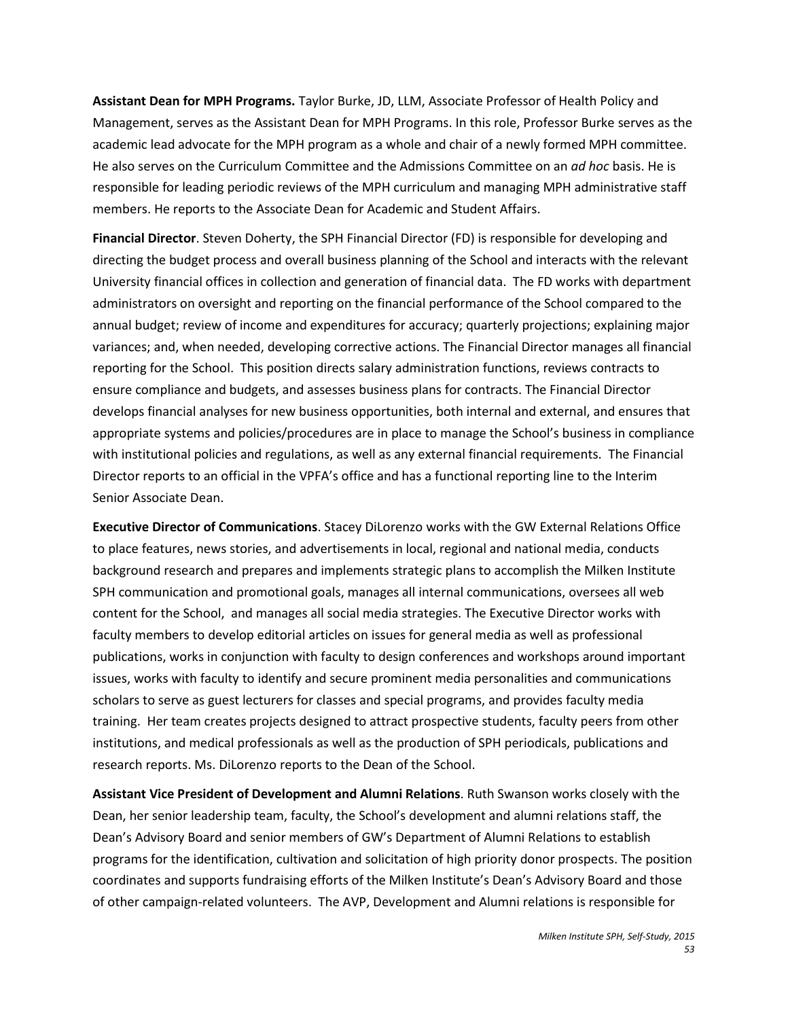**Assistant Dean for MPH Programs.** Taylor Burke, JD, LLM, Associate Professor of Health Policy and Management, serves as the Assistant Dean for MPH Programs. In this role, Professor Burke serves as the academic lead advocate for the MPH program as a whole and chair of a newly formed MPH committee. He also serves on the Curriculum Committee and the Admissions Committee on an *ad hoc* basis. He is responsible for leading periodic reviews of the MPH curriculum and managing MPH administrative staff members. He reports to the Associate Dean for Academic and Student Affairs.

**Financial Director**. Steven Doherty, the SPH Financial Director (FD) is responsible for developing and directing the budget process and overall business planning of the School and interacts with the relevant University financial offices in collection and generation of financial data. The FD works with department administrators on oversight and reporting on the financial performance of the School compared to the annual budget; review of income and expenditures for accuracy; quarterly projections; explaining major variances; and, when needed, developing corrective actions. The Financial Director manages all financial reporting for the School. This position directs salary administration functions, reviews contracts to ensure compliance and budgets, and assesses business plans for contracts. The Financial Director develops financial analyses for new business opportunities, both internal and external, and ensures that appropriate systems and policies/procedures are in place to manage the School's business in compliance with institutional policies and regulations, as well as any external financial requirements. The Financial Director reports to an official in the VPFA's office and has a functional reporting line to the Interim Senior Associate Dean.

**Executive Director of Communications**. Stacey DiLorenzo works with the GW External Relations Office to place features, news stories, and advertisements in local, regional and national media, conducts background research and prepares and implements strategic plans to accomplish the Milken Institute SPH communication and promotional goals, manages all internal communications, oversees all web content for the School, and manages all social media strategies. The Executive Director works with faculty members to develop editorial articles on issues for general media as well as professional publications, works in conjunction with faculty to design conferences and workshops around important issues, works with faculty to identify and secure prominent media personalities and communications scholars to serve as guest lecturers for classes and special programs, and provides faculty media training. Her team creates projects designed to attract prospective students, faculty peers from other institutions, and medical professionals as well as the production of SPH periodicals, publications and research reports. Ms. DiLorenzo reports to the Dean of the School.

**Assistant Vice President of Development and Alumni Relations**. Ruth Swanson works closely with the Dean, her senior leadership team, faculty, the School's development and alumni relations staff, the Dean's Advisory Board and senior members of GW's Department of Alumni Relations to establish programs for the identification, cultivation and solicitation of high priority donor prospects. The position coordinates and supports fundraising efforts of the Milken Institute's Dean's Advisory Board and those of other campaign-related volunteers. The AVP, Development and Alumni relations is responsible for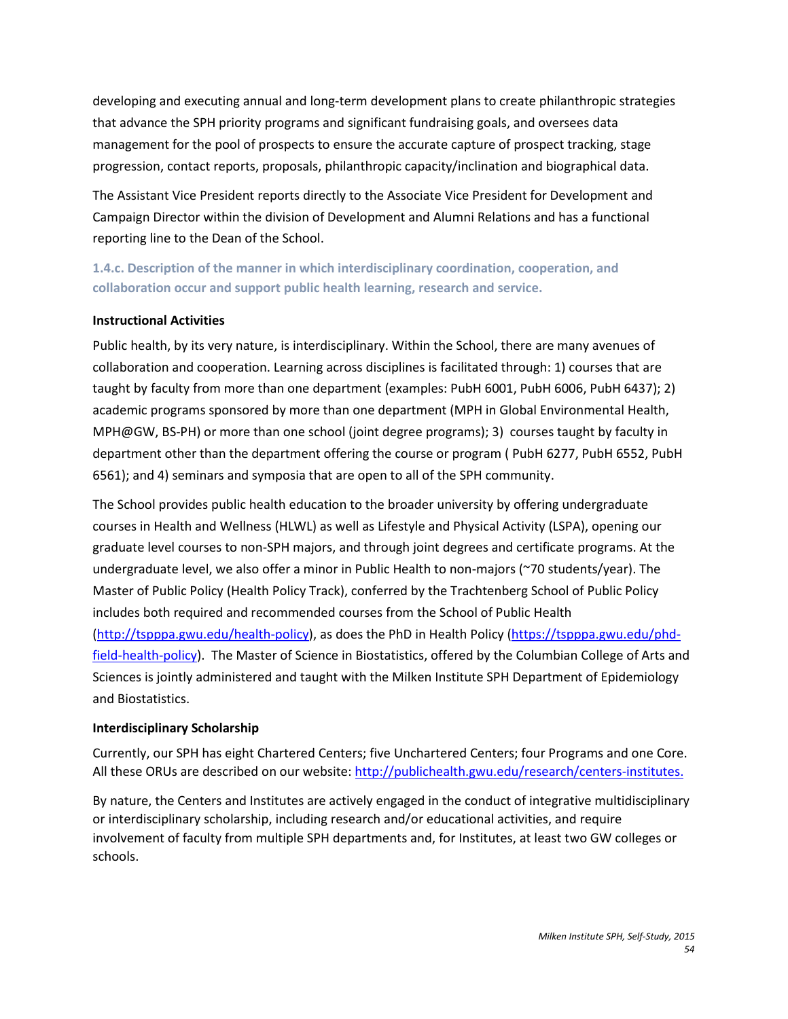developing and executing annual and long-term development plans to create philanthropic strategies that advance the SPH priority programs and significant fundraising goals, and oversees data management for the pool of prospects to ensure the accurate capture of prospect tracking, stage progression, contact reports, proposals, philanthropic capacity/inclination and biographical data.

The Assistant Vice President reports directly to the Associate Vice President for Development and Campaign Director within the division of Development and Alumni Relations and has a functional reporting line to the Dean of the School.

**1.4.c. Description of the manner in which interdisciplinary coordination, cooperation, and collaboration occur and support public health learning, research and service.** 

### **Instructional Activities**

Public health, by its very nature, is interdisciplinary. Within the School, there are many avenues of collaboration and cooperation. Learning across disciplines is facilitated through: 1) courses that are taught by faculty from more than one department (examples: PubH 6001, PubH 6006, PubH 6437); 2) academic programs sponsored by more than one department (MPH in Global Environmental Health, MPH@GW, BS-PH) or more than one school (joint degree programs); 3) courses taught by faculty in department other than the department offering the course or program ( PubH 6277, PubH 6552, PubH 6561); and 4) seminars and symposia that are open to all of the SPH community.

The School provides public health education to the broader university by offering undergraduate courses in Health and Wellness (HLWL) as well as Lifestyle and Physical Activity (LSPA), opening our graduate level courses to non-SPH majors, and through joint degrees and certificate programs. At the undergraduate level, we also offer a minor in Public Health to non-majors (~70 students/year). The Master of Public Policy (Health Policy Track), conferred by the Trachtenberg School of Public Policy includes both required and recommended courses from the School of Public Health [\(http://tspppa.gwu.edu/health-policy\)](http://tspppa.gwu.edu/health-policy), as does the PhD in Health Policy [\(https://tspppa.gwu.edu/phd](https://tspppa.gwu.edu/phd-field-health-policy)[field-health-policy\)](https://tspppa.gwu.edu/phd-field-health-policy). The Master of Science in Biostatistics, offered by the Columbian College of Arts and Sciences is jointly administered and taught with the Milken Institute SPH Department of Epidemiology and Biostatistics.

### **Interdisciplinary Scholarship**

Currently, our SPH has eight Chartered Centers; five Unchartered Centers; four Programs and one Core. All these ORUs are described on our website: [http://publichealth.gwu.edu/research/centers-institutes.](http://publichealth.gwu.edu/research/centers-institutes)

By nature, the Centers and Institutes are actively engaged in the conduct of integrative multidisciplinary or interdisciplinary scholarship, including research and/or educational activities, and require involvement of faculty from multiple SPH departments and, for Institutes, at least two GW colleges or schools.